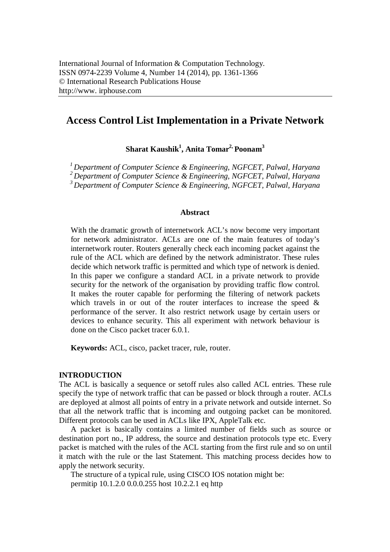# **Access Control List Implementation in a Private Network**

**Sharat Kaushik<sup>1</sup> , Anita Tomar2, Poonam<sup>3</sup>**

*<sup>1</sup>Department of Computer Science & Engineering, NGFCET, Palwal, Haryana*

*<sup>2</sup>Department of Computer Science & Engineering, NGFCET, Palwal, Haryana*

*<sup>3</sup>Department of Computer Science & Engineering, NGFCET, Palwal, Haryana*

## **Abstract**

With the dramatic growth of internetwork ACL's now become very important for network administrator. ACLs are one of the main features of today's internetwork router. Routers generally check each incoming packet against the rule of the ACL which are defined by the network administrator. These rules decide which network traffic is permitted and which type of network is denied. In this paper we configure a standard ACL in a private network to provide security for the network of the organisation by providing traffic flow control. It makes the router capable for performing the filtering of network packets which travels in or out of the router interfaces to increase the speed & performance of the server. It also restrict network usage by certain users or devices to enhance security. This all experiment with network behaviour is done on the Cisco packet tracer 6.0.1.

**Keywords:** ACL, cisco, packet tracer, rule, router.

### **INTRODUCTION**

The ACL is basically a sequence or setoff rules also called ACL entries. These rule specify the type of network traffic that can be passed or block through a router. ACLs are deployed at almost all points of entry in a private network and outside internet. So that all the network traffic that is incoming and outgoing packet can be monitored. Different protocols can be used in ACLs like IPX, AppleTalk etc.

A packet is basically contains a limited number of fields such as source or destination port no., IP address, the source and destination protocols type etc. Every packet is matched with the rules of the ACL starting from the first rule and so on until it match with the rule or the last Statement. This matching process decides how to apply the network security.

The structure of a typical rule, using CISCO IOS notation might be: permitip 10.1.2.0 0.0.0.255 host 10.2.2.1 eq http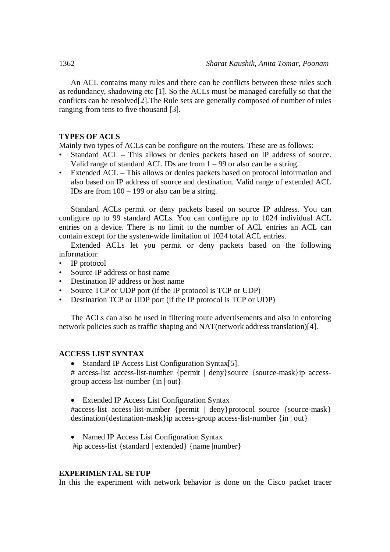An ACL contains many rules and there can be conflicts between these rules such as redundancy, shadowing etc [1]. So the ACLs must be managed carefully so that the conflicts can be resolved[2].The Rule sets are generally composed of number of rules ranging from tens to five thousand [3].

## **TYPES OF ACLS**

Mainly two types of ACLs can be configure on the routers. These are as follows:

- Standard ACL This allows or denies packets based on IP address of source. Valid range of standard ACL IDs are from  $1 - 99$  or also can be a string.
- Extended ACL This allows or denies packets based on protocol information and also based on IP address of source and destination. Valid range of extended ACL IDs are from  $100 - 199$  or also can be a string.

Standard ACLs permit or deny packets based on source IP address. You can configure up to 99 standard ACLs. You can configure up to 1024 individual ACL entries on a device. There is no limit to the number of ACL entries an ACL can contain except for the system-wide limitation of 1024 total ACL entries.

Extended ACLs let you permit or deny packets based on the following information:

- IP protocol
- Source IP address or host name
- Destination IP address or host name
- Source TCP or UDP port (if the IP protocol is TCP or UDP)
- Destination TCP or UDP port (if the IP protocol is TCP or UDP)

The ACLs can also be used in filtering route advertisements and also in enforcing network policies such as traffic shaping and NAT(network address translation)[4].

### **ACCESS LIST SYNTAX**

• Standard IP Access List Configuration Syntax<sup>[5]</sup>.

# access-list access-list-number {permit | deny}source {source-mask}ip accessgroup access-list-number {in | out}

• Extended IP Access List Configuration Syntax

#access-list access-list-number {permit | deny}protocol source {source-mask} destination{destination-mask}ip access-group access-list-number {in | out}

• Named IP Access List Configuration Syntax #ip access-list {standard | extended} {name |number}

#### **EXPERIMENTAL SETUP**

In this the experiment with network behavior is done on the Cisco packet tracer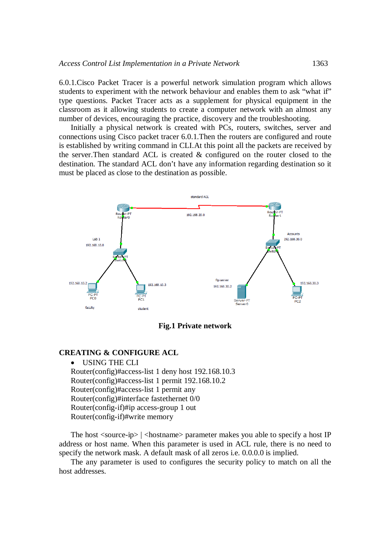6.0.1.Cisco Packet Tracer is a powerful network simulation program which allows students to experiment with the network behaviour and enables them to ask "what if" type questions. Packet Tracer acts as a supplement for physical equipment in the classroom as it allowing students to create a computer network with an almost any number of devices, encouraging the practice, discovery and the troubleshooting.

Initially a physical network is created with PCs, routers, switches, server and connections using Cisco packet tracer 6.0.1.Then the routers are configured and route is established by writing command in CLI.At this point all the packets are received by the server.Then standard ACL is created & configured on the router closed to the destination. The standard ACL don't have any information regarding destination so it must be placed as close to the destination as possible.



**Fig.1 Private network**

### **CREATING & CONFIGURE ACL**

 USING THE CLI Router(config)#access-list 1 deny host 192.168.10.3 Router(config)#access-list 1 permit 192.168.10.2 Router(config)#access-list 1 permit any Router(config)#interface fastethernet 0/0 Router(config-if)#ip access-group 1 out Router(config-if)#write memory

The host  $\langle$ source-ip $\rangle$   $|$  $\langle$ hostname $\rangle$  parameter makes you able to specify a host IP address or host name. When this parameter is used in ACL rule, there is no need to specify the network mask. A default mask of all zeros i.e. 0.0.0.0 is implied.

The any parameter is used to configures the security policy to match on all the host addresses.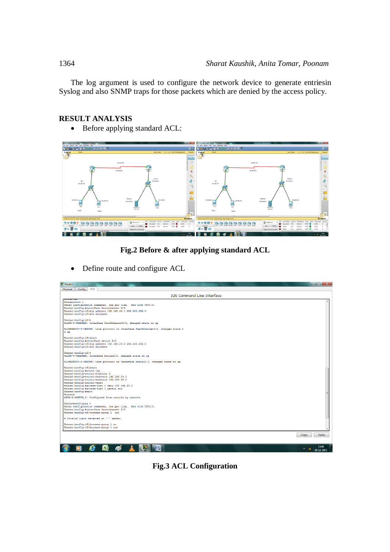The log argument is used to configure the network device to generate entriesin Syslog and also SNMP traps for those packets which are denied by the access policy.

## **RESULT ANALYSIS**

• Before applying standard ACL:





• Define route and configure ACL



**Fig.3 ACL Configuration**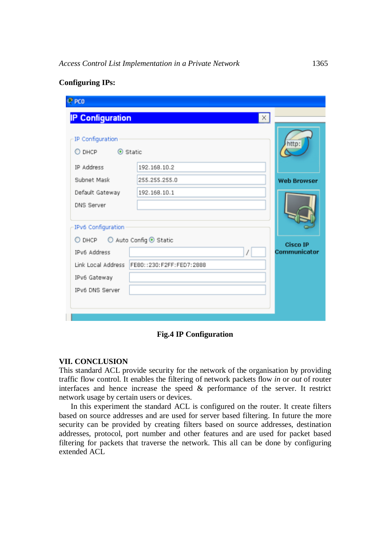| $P$ PCO                          |                          |                                 |
|----------------------------------|--------------------------|---------------------------------|
| <b>IP Configuration</b>          | X                        |                                 |
| IP Configuration                 |                          | http:                           |
| IP Address                       | 192.168.10.2             |                                 |
| Subnet Mask                      | 255.255.255.0            | <b>Web Browser</b>              |
| Default Gateway                  | 192.168.10.1             |                                 |
| DNS Server<br>IPv6 Configuration |                          |                                 |
| ○ DHCP ○ Auto Config ⊙ Static    |                          |                                 |
| IPv6 Address                     |                          | <b>Cisco IP</b><br>Communicator |
| Link Local Address               | FE80::230:F2FF:FED7:2888 |                                 |
| IPv6 Gateway                     |                          |                                 |
| IPv6 DNS Server                  |                          |                                 |
|                                  |                          |                                 |
|                                  |                          |                                 |

## **Configuring IPs:**

**Fig.4 IP Configuration**

### **VII. CONCLUSION**

This standard ACL provide security for the network of the organisation by providing traffic flow control. It enables the filtering of network packets flow *in* or *out* of router interfaces and hence increase the speed & performance of the server. It restrict network usage by certain users or devices.

In this experiment the standard ACL is configured on the router. It create filters based on source addresses and are used for server based filtering. In future the more security can be provided by creating filters based on source addresses, destination addresses, protocol, port number and other features and are used for packet based filtering for packets that traverse the network. This all can be done by configuring extended ACL